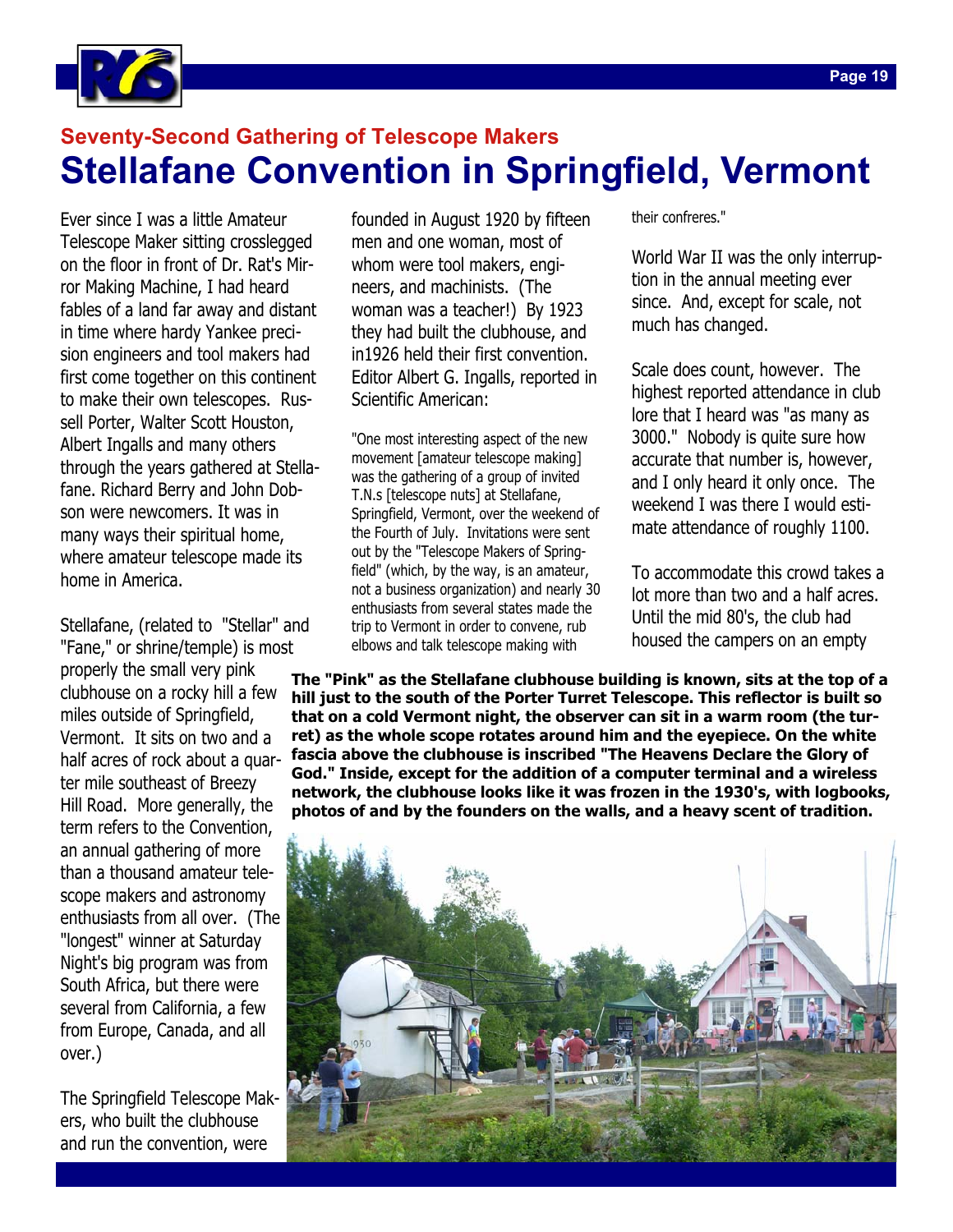

## **Seventy-Second Gathering of Telescope Makers Stellafane Convention in Springfield, Vermont**

Ever since I was a little Amateur Telescope Maker sitting crosslegged on the floor in front of Dr. Rat's Mirror Making Machine, I had heard fables of a land far away and distant in time where hardy Yankee precision engineers and tool makers had first come together on this continent to make their own telescopes. Russell Porter, Walter Scott Houston, Albert Ingalls and many others through the years gathered at Stellafane. Richard Berry and John Dobson were newcomers. It was in many ways their spiritual home, where amateur telescope made its home in America.

Stellafane, (related to "Stellar" and "Fane," or shrine/temple) is most properly the small very pink clubhouse on a rocky hill a few miles outside of Springfield, Vermont. It sits on two and a half acres of rock about a quarter mile southeast of Breezy Hill Road. More generally, the term refers to the Convention, an annual gathering of more than a thousand amateur telescope makers and astronomy enthusiasts from all over. (The "longest" winner at Saturday Night's big program was from South Africa, but there were several from California, a few from Europe, Canada, and all over.)

The Springfield Telescope Makers, who built the clubhouse and run the convention, were

founded in August 1920 by fifteen men and one woman, most of whom were tool makers, engineers, and machinists. (The woman was a teacher!) By 1923 they had built the clubhouse, and in1926 held their first convention. Editor Albert G. Ingalls, reported in Scientific American:

"One most interesting aspect of the new movement [amateur telescope making] was the gathering of a group of invited T.N.s [telescope nuts] at Stellafane, Springfield, Vermont, over the weekend of the Fourth of July. Invitations were sent out by the "Telescope Makers of Springfield" (which, by the way, is an amateur, not a business organization) and nearly 30 enthusiasts from several states made the trip to Vermont in order to convene, rub elbows and talk telescope making with

their confreres."

World War II was the only interruption in the annual meeting ever since. And, except for scale, not much has changed.

Scale does count, however. The highest reported attendance in club lore that I heard was "as many as 3000." Nobody is quite sure how accurate that number is, however, and I only heard it only once. The weekend I was there I would estimate attendance of roughly 1100.

To accommodate this crowd takes a lot more than two and a half acres. Until the mid 80's, the club had housed the campers on an empty

**The "Pink" as the Stellafane clubhouse building is known, sits at the top of a hill just to the south of the Porter Turret Telescope. This reflector is built so that on a cold Vermont night, the observer can sit in a warm room (the turret) as the whole scope rotates around him and the eyepiece. On the white fascia above the clubhouse is inscribed "The Heavens Declare the Glory of God." Inside, except for the addition of a computer terminal and a wireless network, the clubhouse looks like it was frozen in the 1930's, with logbooks, photos of and by the founders on the walls, and a heavy scent of tradition.** 

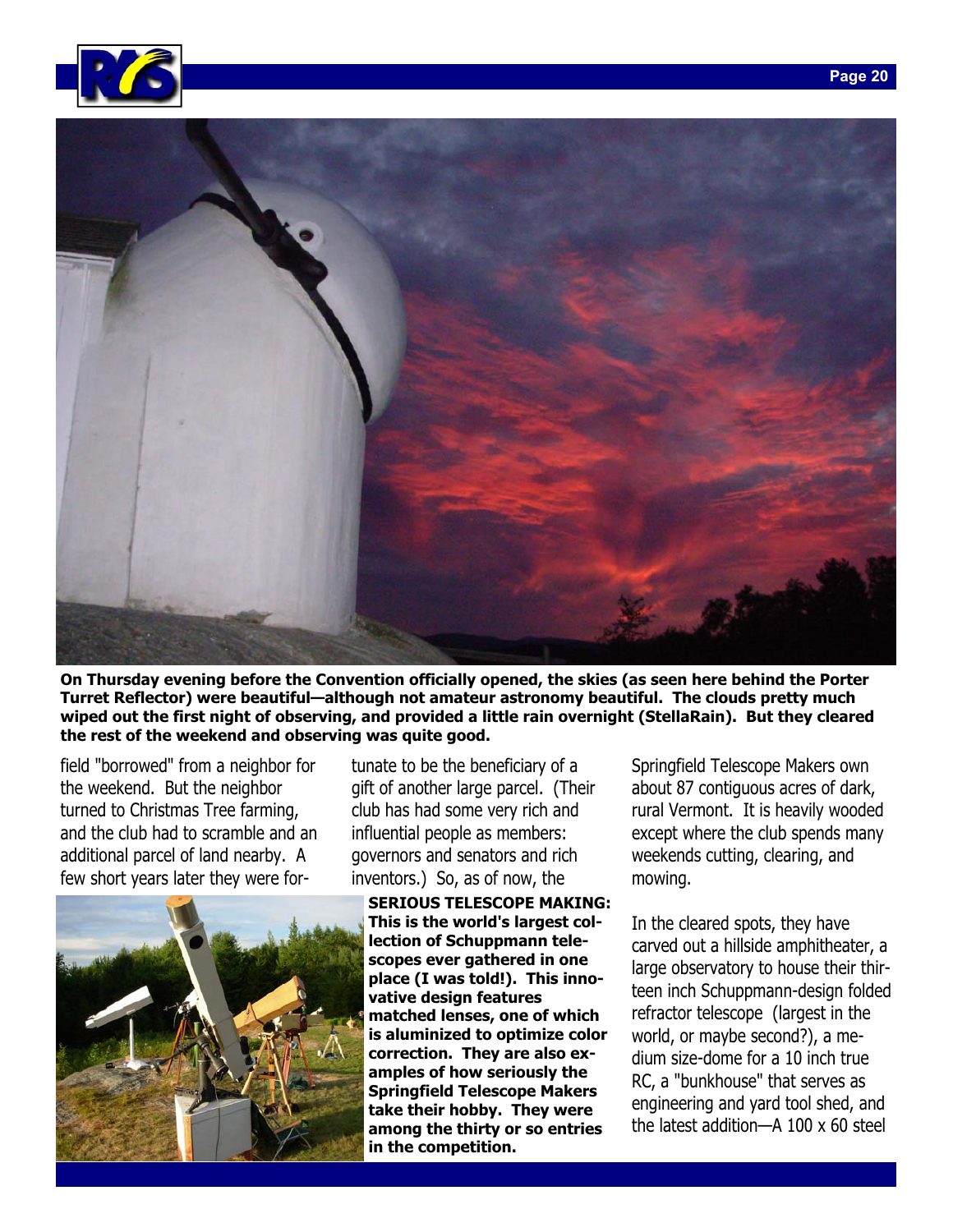



**On Thursday evening before the Convention officially opened, the skies (as seen here behind the Porter Turret Reflector) were beautiful—although not amateur astronomy beautiful. The clouds pretty much wiped out the first night of observing, and provided a little rain overnight (StellaRain). But they cleared the rest of the weekend and observing was quite good.** 

field "borrowed" from a neighbor for the weekend. But the neighbor turned to Christmas Tree farming, and the club had to scramble and an additional parcel of land nearby. A few short years later they were for-



tunate to be the beneficiary of a gift of another large parcel. (Their club has had some very rich and influential people as members: governors and senators and rich inventors.) So, as of now, the

**SERIOUS TELESCOPE MAKING: This is the world's largest collection of Schuppmann telescopes ever gathered in one place (I was told!). This innovative design features matched lenses, one of which is aluminized to optimize color correction. They are also examples of how seriously the Springfield Telescope Makers take their hobby. They were among the thirty or so entries in the competition.** 

Springfield Telescope Makers own about 87 contiguous acres of dark, rural Vermont. It is heavily wooded except where the club spends many weekends cutting, clearing, and mowing.

In the cleared spots, they have carved out a hillside amphitheater, a large observatory to house their thirteen inch Schuppmann-design folded refractor telescope (largest in the world, or maybe second?), a medium size-dome for a 10 inch true RC, a "bunkhouse" that serves as engineering and yard tool shed, and the latest addition—A 100 x 60 steel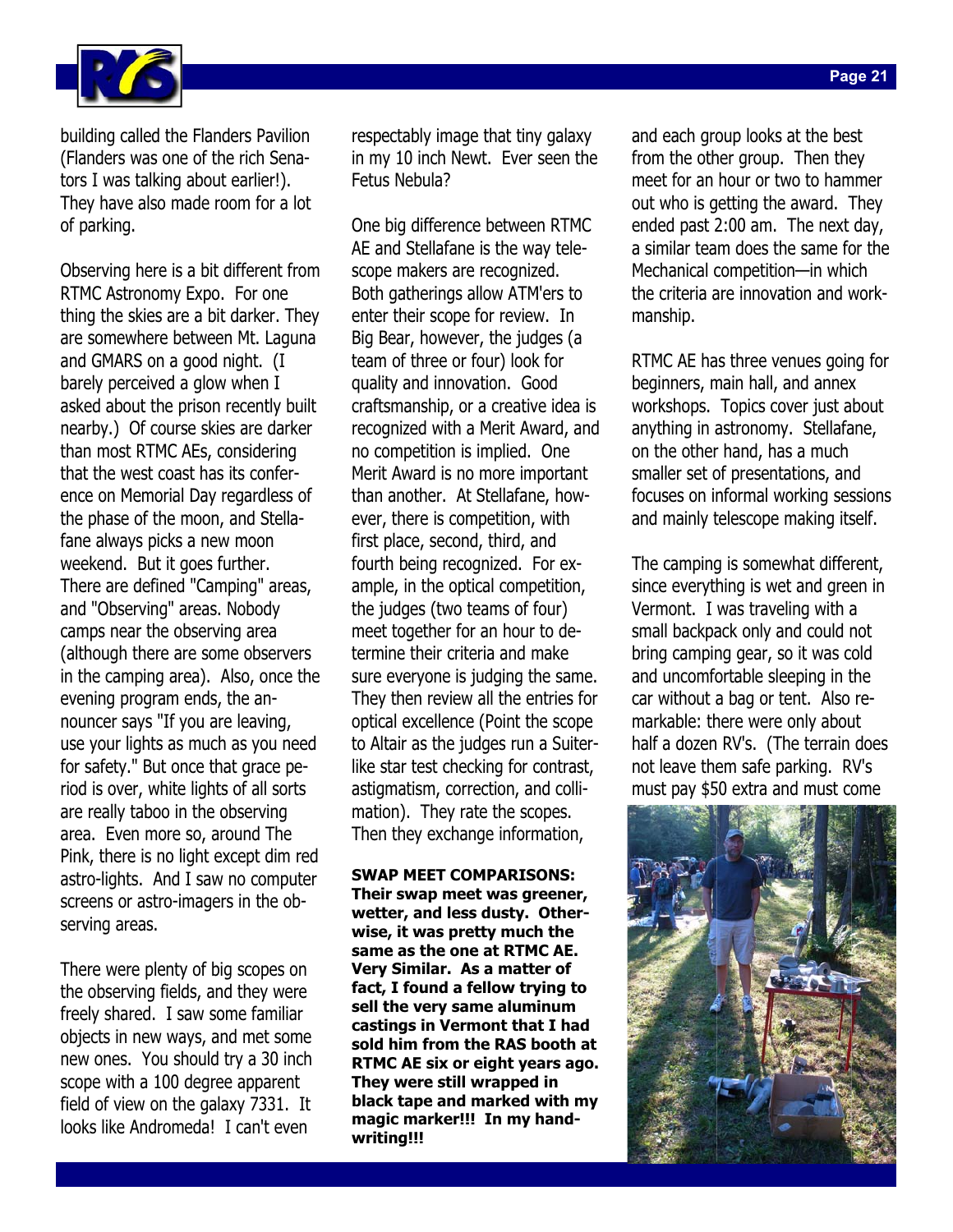

building called the Flanders Pavilion (Flanders was one of the rich Senators I was talking about earlier!). They have also made room for a lot of parking.

Observing here is a bit different from RTMC Astronomy Expo. For one thing the skies are a bit darker. They are somewhere between Mt. Laguna and GMARS on a good night. (I barely perceived a glow when I asked about the prison recently built nearby.) Of course skies are darker than most RTMC AEs, considering that the west coast has its conference on Memorial Day regardless of the phase of the moon, and Stellafane always picks a new moon weekend. But it goes further. There are defined "Camping" areas, and "Observing" areas. Nobody camps near the observing area (although there are some observers in the camping area). Also, once the evening program ends, the announcer says "If you are leaving, use your lights as much as you need for safety." But once that grace period is over, white lights of all sorts are really taboo in the observing area. Even more so, around The Pink, there is no light except dim red astro-lights. And I saw no computer screens or astro-imagers in the observing areas.

There were plenty of big scopes on the observing fields, and they were freely shared. I saw some familiar objects in new ways, and met some new ones. You should try a 30 inch scope with a 100 degree apparent field of view on the galaxy 7331. It looks like Andromeda! I can't even

respectably image that tiny galaxy in my 10 inch Newt. Ever seen the Fetus Nebula?

One big difference between RTMC AE and Stellafane is the way telescope makers are recognized. Both gatherings allow ATM'ers to enter their scope for review. In Big Bear, however, the judges (a team of three or four) look for quality and innovation. Good craftsmanship, or a creative idea is recognized with a Merit Award, and no competition is implied. One Merit Award is no more important than another. At Stellafane, however, there is competition, with first place, second, third, and fourth being recognized. For example, in the optical competition, the judges (two teams of four) meet together for an hour to determine their criteria and make sure everyone is judging the same. They then review all the entries for optical excellence (Point the scope to Altair as the judges run a Suiterlike star test checking for contrast, astigmatism, correction, and collimation). They rate the scopes. Then they exchange information,

**SWAP MEET COMPARISONS: Their swap meet was greener, wetter, and less dusty. Otherwise, it was pretty much the same as the one at RTMC AE. Very Similar. As a matter of fact, I found a fellow trying to sell the very same aluminum castings in Vermont that I had sold him from the RAS booth at RTMC AE six or eight years ago. They were still wrapped in black tape and marked with my magic marker!!! In my handwriting!!!** 

and each group looks at the best from the other group. Then they meet for an hour or two to hammer out who is getting the award. They ended past 2:00 am. The next day, a similar team does the same for the Mechanical competition—in which the criteria are innovation and workmanship.

RTMC AE has three venues going for beginners, main hall, and annex workshops. Topics cover just about anything in astronomy. Stellafane, on the other hand, has a much smaller set of presentations, and focuses on informal working sessions and mainly telescope making itself.

The camping is somewhat different, since everything is wet and green in Vermont. I was traveling with a small backpack only and could not bring camping gear, so it was cold and uncomfortable sleeping in the car without a bag or tent. Also remarkable: there were only about half a dozen RV's. (The terrain does not leave them safe parking. RV's must pay \$50 extra and must come